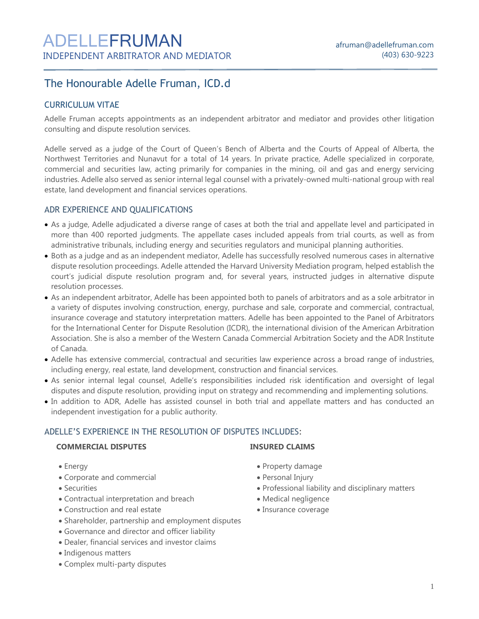# The Honourable Adelle Fruman, ICD.d

# CURRICULUM VITAE

Adelle Fruman accepts appointments as an independent arbitrator and mediator and provides other litigation consulting and dispute resolution services.

Adelle served as a judge of the Court of Queen's Bench of Alberta and the Courts of Appeal of Alberta, the Northwest Territories and Nunavut for a total of 14 years. In private practice, Adelle specialized in corporate, commercial and securities law, acting primarily for companies in the mining, oil and gas and energy servicing industries. Adelle also served as senior internal legal counsel with a privately-owned multi-national group with real estate, land development and financial services operations.

# ADR EXPERIENCE AND QUALIFICATIONS

- As a judge, Adelle adjudicated a diverse range of cases at both the trial and appellate level and participated in more than 400 reported judgments. The appellate cases included appeals from trial courts, as well as from administrative tribunals, including energy and securities regulators and municipal planning authorities.
- Both as a judge and as an independent mediator, Adelle has successfully resolved numerous cases in alternative dispute resolution proceedings. Adelle attended the Harvard University Mediation program, helped establish the court's judicial dispute resolution program and, for several years, instructed judges in alternative dispute resolution processes.
- As an independent arbitrator, Adelle has been appointed both to panels of arbitrators and as a sole arbitrator in a variety of disputes involving construction, energy, purchase and sale, corporate and commercial, contractual, insurance coverage and statutory interpretation matters. Adelle has been appointed to the Panel of Arbitrators for the International Center for Dispute Resolution (ICDR), the international division of the American Arbitration Association. She is also a member of the Western Canada Commercial Arbitration Society and the ADR Institute of Canada.
- Adelle has extensive commercial, contractual and securities law experience across a broad range of industries, including energy, real estate, land development, construction and financial services.
- As senior internal legal counsel, Adelle's responsibilities included risk identification and oversight of legal disputes and dispute resolution, providing input on strategy and recommending and implementing solutions.
- In addition to ADR, Adelle has assisted counsel in both trial and appellate matters and has conducted an independent investigation for a public authority.

# ADELLE'S EXPERIENCE IN THE RESOLUTION OF DISPUTES INCLUDES:

#### **COMMERCIAL DISPUTES IINSURED CLAIMS**

- 
- Corporate and commercial Personal Injury
- Securities
- Contractual interpretation and breach
- Construction and real estate
- Shareholder, partnership and employment disputes
- Governance and director and officer liability
- Dealer, financial services and investor claims
- Indigenous matters
- Complex multi-party disputes

- Energy Property damage
	-
	- Professional liability and disciplinary matters
	- Medical negligence
	- Insurance coverage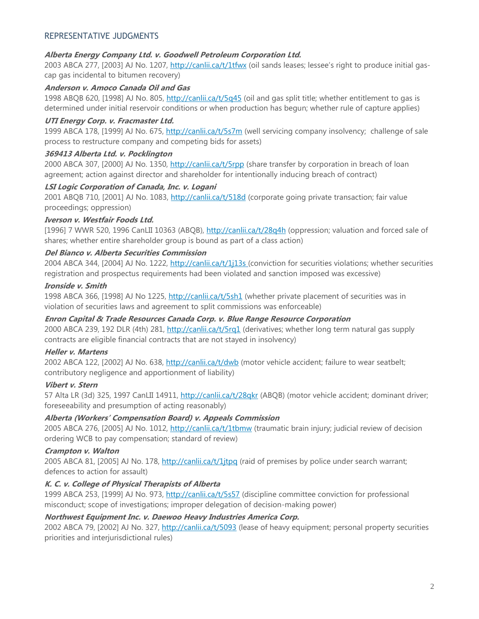# REPRESENTATIVE JUDGMENTS

#### **Alberta Energy Company Ltd. v. Goodwell Petroleum Corporation Ltd.**

2003 ABCA 277, [2003] AJ No. 1207, <http://canlii.ca/t/1tfwx> (oil sands leases; lessee's right to produce initial gascap gas incidental to bitumen recovery)

#### **Anderson v. Amoco Canada Oil and Gas**

1998 ABQB 620, [1998] AJ No. 805, <http://canlii.ca/t/5q45> (oil and gas split title; whether entitlement to gas is determined under initial reservoir conditions or when production has begun; whether rule of capture applies)

#### **UTI Energy Corp. v. Fracmaster Ltd.**

1999 ABCA 178, [1999] AJ No. 675, <http://canlii.ca/t/5s7m> (well servicing company insolvency; challenge of sale process to restructure company and competing bids for assets)

#### **369413 Alberta Ltd. v. Pocklington**

2000 ABCA 307, [2000] AJ No. 1350, <http://canlii.ca/t/5rpp> (share transfer by corporation in breach of loan agreement; action against director and shareholder for intentionally inducing breach of contract)

#### **LSI Logic Corporation of Canada, Inc. v. Logani**

2001 ABQB 710, [2001] AJ No. 1083, <http://canlii.ca/t/518d> (corporate going private transaction; fair value proceedings; oppression)

#### **Iverson v. Westfair Foods Ltd.**

[1996] 7 WWR 520, 1996 CanLII 10363 (ABQB), <http://canlii.ca/t/28q4h> (oppression; valuation and forced sale of shares; whether entire shareholder group is bound as part of a class action)

#### **Del Bianco v. Alberta Securities Commission**

2004 ABCA 344, [2004] AJ No. 1222, http://canlii.ca/t/1j13s (conviction for securities violations; whether securities registration and prospectus requirements had been violated and sanction imposed was excessive)

#### **Ironside v. Smith**

1998 ABCA 366, [1998] AJ No 1225, <http://canlii.ca/t/5sh1> (whether private placement of securities was in violation of securities laws and agreement to split commissions was enforceable)

#### **Enron Capital & Trade Resources Canada Corp. v. Blue Range Resource Corporation**

2000 ABCA 239, 192 DLR (4th) 281, <http://canlii.ca/t/5rq1> (derivatives; whether long term natural gas supply contracts are eligible financial contracts that are not stayed in insolvency)

#### **Heller v. Martens**

2002 ABCA 122, [2002] AJ No. 638, <http://canlii.ca/t/dwb> (motor vehicle accident; failure to wear seatbelt; contributory negligence and apportionment of liability)

#### **Vibert v. Stern**

57 Alta LR (3d) 325, 1997 CanLII 14911, <http://canlii.ca/t/28qkr> (ABQB) (motor vehicle accident; dominant driver; foreseeability and presumption of acting reasonably)

#### **Alberta (Workers' Compensation Board) v. Appeals Commission**

2005 ABCA 276, [2005] AJ No. 1012, <http://canlii.ca/t/1tbmw> (traumatic brain injury; judicial review of decision ordering WCB to pay compensation; standard of review)

# **Crampton v. Walton**

2005 ABCA 81, [2005] AJ No. 178, <http://canlii.ca/t/1jtpq> (raid of premises by police under search warrant; defences to action for assault)

#### **K. C. v. College of Physical Therapists of Alberta**

1999 ABCA 253, [1999] AJ No. 973, http://canlii.ca/t/5s57 (discipline committee conviction for professional misconduct; scope of investigations; improper delegation of decision-making power)

# **Northwest Equipment Inc. v. Daewoo Heavy Industries America Corp.**

2002 ABCA 79, [2002] AJ No. 327, http://canlii.ca/t/5093 (lease of heavy equipment; personal property securities priorities and interjurisdictional rules)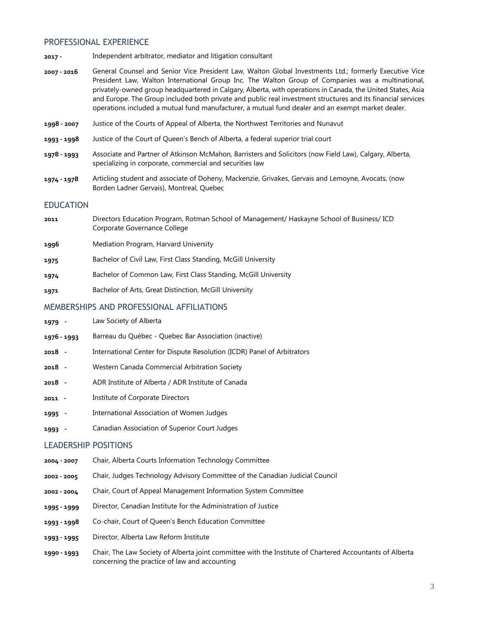#### PROFESSIONAL EXPERIENCE

- **2017 -** Independent arbitrator, mediator and litigation consultant
- **2007 - 2016** General Counsel and Senior Vice President Law, Walton Global Investments Ltd.; formerly Executive Vice President Law, Walton International Group Inc. The Walton Group of Companies was a multinational, privately-owned group headquartered in Calgary, Alberta, with operations in Canada, the United States, Asia and Europe. The Group included both private and public real investment structures and its financial services operations included a mutual fund manufacturer, a mutual fund dealer and an exempt market dealer.
- **1998 - 2007** Justice of the Courts of Appeal of Alberta, the Northwest Territories and Nunavut
- **1993 - 1998** Justice of the Court of Queen's Bench of Alberta, a federal superior trial court
- **1978 - 1993** Associate and Partner of Atkinson McMahon, Barristers and Solicitors (now Field Law), Calgary, Alberta, specializing in corporate, commercial and securities law
- **1974 - 1978** Articling student and associate of Doheny, Mackenzie, Grivakes, Gervais and Lemoyne, Avocats, (now Borden Ladner Gervais), Montreal, Quebec

#### EDUCATION

- **2011** Directors Education Program, Rotman School of Management/ Haskayne School of Business/ ICD Corporate Governance College
- **1996** Mediation Program, Harvard University
- **1975** Bachelor of Civil Law, First Class Standing, McGill University
- **1974** Bachelor of Common Law, First Class Standing, McGill University
- **1971** Bachelor of Arts, Great Distinction, McGill University

#### MEMBERSHIPS AND PROFESSIONAL AFFILIATIONS

- **1979 -** Law Society of Alberta
- **1976 - 1993** Barreau du Québec Quebec Bar Association (inactive)
- **2018 -** International Center for Dispute Resolution (ICDR) Panel of Arbitrators
- **2018 -** Western Canada Commercial Arbitration Society
- **2018 -** ADR Institute of Alberta / ADR Institute of Canada
- **2011 -** Institute of Corporate Directors
- **1995 -** International Association of Women Judges
- **1993 -** Canadian Association of Superior Court Judges

#### LEADERSHIP POSITIONS

- **2004 - 2007** Chair, Alberta Courts Information Technology Committee
- **2002 - 2005** Chair, Judges Technology Advisory Committee of the Canadian Judicial Council
- **2002 - 2004** Chair, Court of Appeal Management Information System Committee
- **1995 - 1999** Director, Canadian Institute for the Administration of Justice
- **1993 - 1998** Co-chair, Court of Queen's Bench Education Committee
- **1993 - 1995** Director, Alberta Law Reform Institute
- **1990 - 1993** Chair, The Law Society of Alberta joint committee with the Institute of Chartered Accountants of Alberta concerning the practice of law and accounting